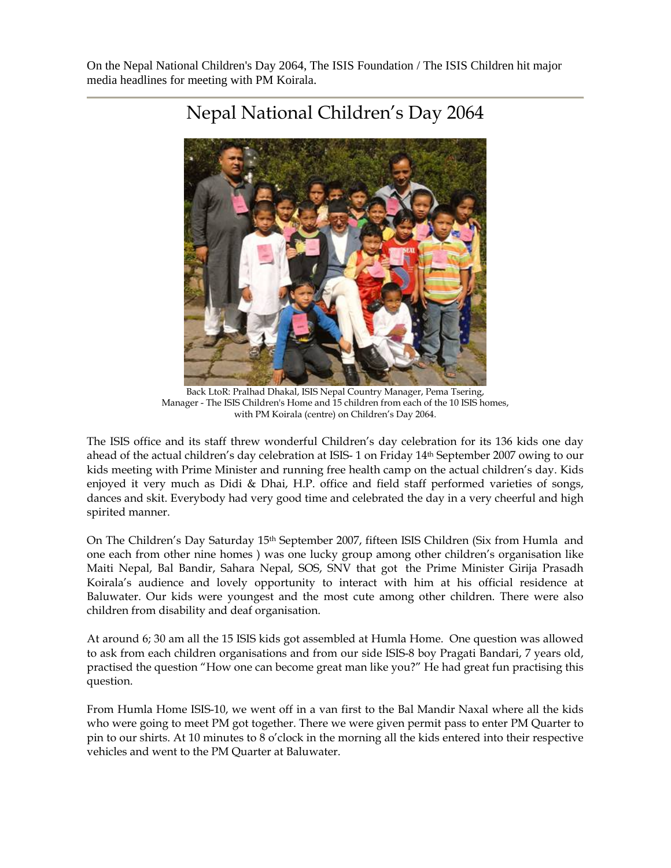On the Nepal National Children's Day 2064, The ISIS Foundation / The ISIS Children hit major media headlines for meeting with PM Koirala.



## Nepal National Children's Day 2064

Back LtoR: Pralhad Dhakal, ISIS Nepal Country Manager, Pema Tsering, Manager - The ISIS Children's Home and 15 children from each of the 10 ISIS homes, with PM Koirala (centre) on Children's Day 2064.

The ISIS office and its staff threw wonderful Children's day celebration for its 136 kids one day ahead of the actual children's day celebration at ISIS- 1 on Friday 14th September 2007 owing to our kids meeting with Prime Minister and running free health camp on the actual children's day. Kids enjoyed it very much as Didi & Dhai, H.P. office and field staff performed varieties of songs, dances and skit. Everybody had very good time and celebrated the day in a very cheerful and high spirited manner.

On The Children's Day Saturday 15<sup>th</sup> September 2007, fifteen ISIS Children (Six from Humla and one each from other nine homes ) was one lucky group among other children's organisation like Maiti Nepal, Bal Bandir, Sahara Nepal, SOS, SNV that got the Prime Minister Girija Prasadh Koirala's audience and lovely opportunity to interact with him at his official residence at Baluwater. Our kids were youngest and the most cute among other children. There were also children from disability and deaf organisation.

At around 6; 30 am all the 15 ISIS kids got assembled at Humla Home. One question was allowed to ask from each children organisations and from our side ISIS-8 boy Pragati Bandari, 7 years old, practised the question "How one can become great man like you?" He had great fun practising this question.

From Humla Home ISIS-10, we went off in a van first to the Bal Mandir Naxal where all the kids who were going to meet PM got together. There we were given permit pass to enter PM Quarter to pin to our shirts. At 10 minutes to 8 o'clock in the morning all the kids entered into their respective vehicles and went to the PM Quarter at Baluwater.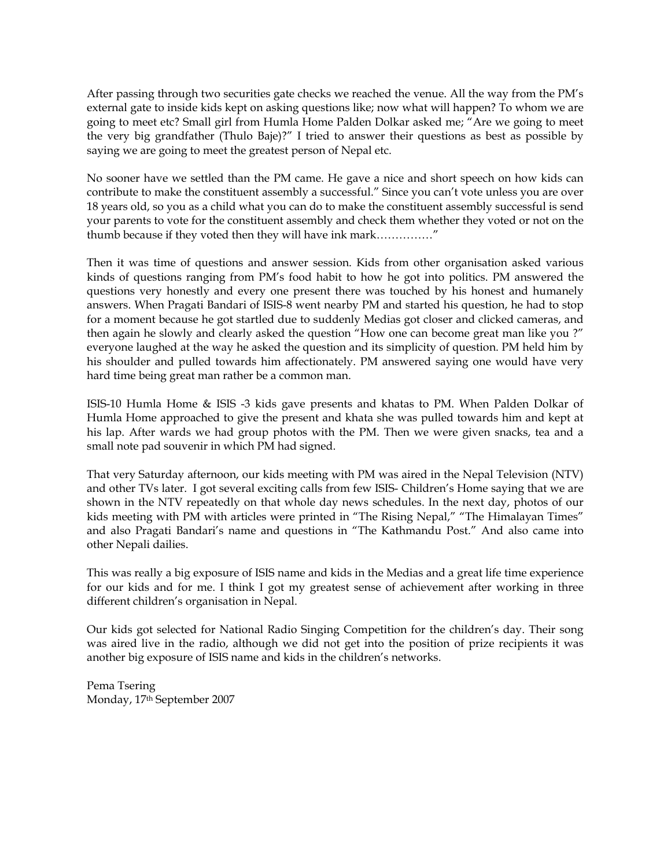After passing through two securities gate checks we reached the venue. All the way from the PM's external gate to inside kids kept on asking questions like; now what will happen? To whom we are going to meet etc? Small girl from Humla Home Palden Dolkar asked me; "Are we going to meet the very big grandfather (Thulo Baje)?" I tried to answer their questions as best as possible by saying we are going to meet the greatest person of Nepal etc.

No sooner have we settled than the PM came. He gave a nice and short speech on how kids can contribute to make the constituent assembly a successful." Since you can't vote unless you are over 18 years old, so you as a child what you can do to make the constituent assembly successful is send your parents to vote for the constituent assembly and check them whether they voted or not on the thumb because if they voted then they will have ink mark……………"

Then it was time of questions and answer session. Kids from other organisation asked various kinds of questions ranging from PM's food habit to how he got into politics. PM answered the questions very honestly and every one present there was touched by his honest and humanely answers. When Pragati Bandari of ISIS-8 went nearby PM and started his question, he had to stop for a moment because he got startled due to suddenly Medias got closer and clicked cameras, and then again he slowly and clearly asked the question "How one can become great man like you ?" everyone laughed at the way he asked the question and its simplicity of question. PM held him by his shoulder and pulled towards him affectionately. PM answered saying one would have very hard time being great man rather be a common man.

ISIS-10 Humla Home & ISIS -3 kids gave presents and khatas to PM. When Palden Dolkar of Humla Home approached to give the present and khata she was pulled towards him and kept at his lap. After wards we had group photos with the PM. Then we were given snacks, tea and a small note pad souvenir in which PM had signed.

That very Saturday afternoon, our kids meeting with PM was aired in the Nepal Television (NTV) and other TVs later. I got several exciting calls from few ISIS- Children's Home saying that we are shown in the NTV repeatedly on that whole day news schedules. In the next day, photos of our kids meeting with PM with articles were printed in "The Rising Nepal," "The Himalayan Times" and also Pragati Bandari's name and questions in "The Kathmandu Post." And also came into other Nepali dailies.

This was really a big exposure of ISIS name and kids in the Medias and a great life time experience for our kids and for me. I think I got my greatest sense of achievement after working in three different children's organisation in Nepal.

Our kids got selected for National Radio Singing Competition for the children's day. Their song was aired live in the radio, although we did not get into the position of prize recipients it was another big exposure of ISIS name and kids in the children's networks.

Pema Tsering Monday, 17th September 2007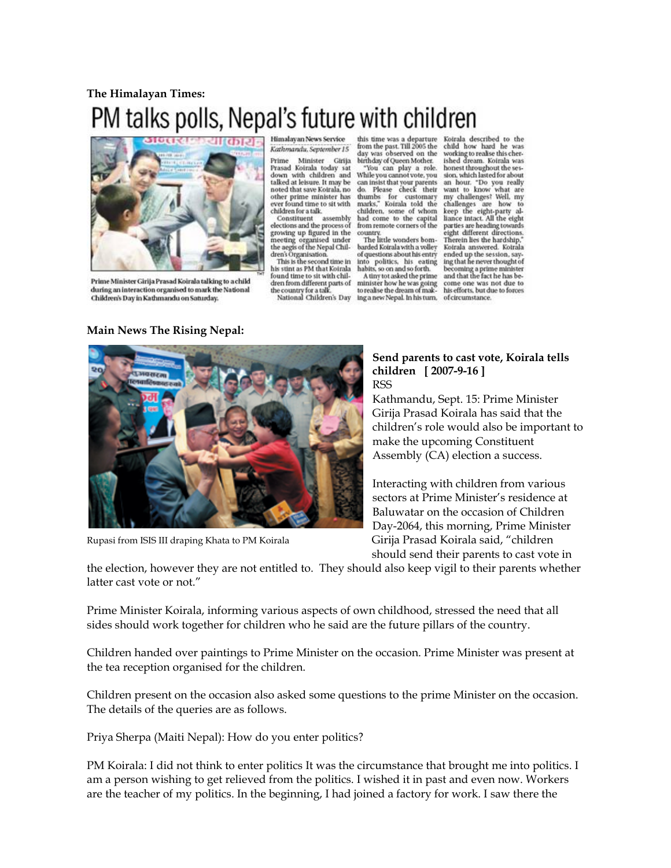## **The Himalayan Times:**  PM talks polls, Nepal's future with children



Prime Minister Girija Prasad Koirala talking to a child during an interaction organised to mark the National Children's Day in Kathmandu on Saturday.

**Main News The Rising Nepal:** 

Himalayan News Service Kathmandu, September 15

Minister Girija Prime Prasad Koirala today sat<br>down with children and<br>talked at leisure. It may be noted that save Koirala, no other prime minister has ever found time to sit with<br>children for a talk.

Constituent assembly elections and the process of growing up figured in the<br>meeting organised under<br>the aegis of the Nepal Chil-<br>dren's Organisation.

This is the second time in his stint as PM that Koirala found time to sit with children from different parts of the country for a talk National Children's Day

this time was a departure<br>from the past. Till 2005 the<br>day was observed on the birthday of Queen Mother.

You can play a role. While you cannot vote, you<br>can insist that your parents do. Please check their doc riease caeck then<br>thumbs for customary<br>marks," Koirala told the<br>children, some of whom had come to the capital<br>from remote corners of the country

The little wonders bombarded Koirala with a volley<br>of questions about his entry into politics, his eating<br>habits, so on and so forth. A tiny tot asked the prime

minister how he was going<br>to realise the dream of making a new Nepal. In his turn, of circumstance.

Koirala described to the child how hard he was<br>working to realise this cher-<br>ished dream. Koirala was<br>honest throughout the session, which lasted for about<br>an hour. "Do you really<br>want to know what are my challenges? Well, my challenges are how to<br>keep the eight-party alliance intact. All the eight parties are heading towards eight different directions.<br>Therein lies the hardship," Koirala answered. Koirala sources aussiered.<br>
ended up the session, say-<br>
ing that he never thought of<br>
becoming a prime minister<br>
and that the fact he has become one was not due to his efforts, but due to forces



## **Send parents to cast vote, Koirala tells children [ 2007-9-16 ]**  RSS

Kathmandu, Sept. 15: Prime Minister Girija Prasad Koirala has said that the children's role would also be important to make the upcoming Constituent Assembly (CA) election a success.

Interacting with children from various sectors at Prime Minister's residence at Baluwatar on the occasion of Children Day-2064, this morning, Prime Minister Rupasi from ISIS III draping Khata to PM Koirala Girija Prasad Koirala said, "children should send their parents to cast vote in

the election, however they are not entitled to. They should also keep vigil to their parents whether latter cast vote or not."

Prime Minister Koirala, informing various aspects of own childhood, stressed the need that all sides should work together for children who he said are the future pillars of the country.

Children handed over paintings to Prime Minister on the occasion. Prime Minister was present at the tea reception organised for the children.

Children present on the occasion also asked some questions to the prime Minister on the occasion. The details of the queries are as follows.

Priya Sherpa (Maiti Nepal): How do you enter politics?

PM Koirala: I did not think to enter politics It was the circumstance that brought me into politics. I am a person wishing to get relieved from the politics. I wished it in past and even now. Workers are the teacher of my politics. In the beginning, I had joined a factory for work. I saw there the